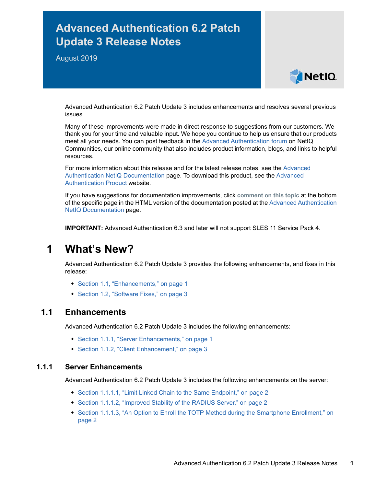# **Advanced Authentication 6.2 Patch Update 3 Release Notes**

August 2019



Advanced Authentication 6.2 Patch Update 3 includes enhancements and resolves several previous issues.

Many of these improvements were made in direct response to suggestions from our customers. We thank you for your time and valuable input. We hope you continue to help us ensure that our products meet all your needs. You can post feedback in the [Advanced Authentication forum](https://forums.novell.com/forumdisplay.php/1374-Advanced-Authentication) on NetIQ Communities, our online community that also includes product information, blogs, and links to helpful resources.

For more information about this release and for the latest release notes, see the [Advanced](https://www.netiq.com/documentation/advanced-authentication-62/)  [Authentication NetIQ Documentation](https://www.netiq.com/documentation/advanced-authentication-62/) page. To download this product, see the [Advanced](https://www.netiq.com/products/advanced-authentication-framework/)  [Authentication Product](https://www.netiq.com/products/advanced-authentication-framework/) website.

If you have suggestions for documentation improvements, click **comment on this topic** at the bottom of the specific page in the HTML version of the documentation posted at the [Advanced Authentication](https://www.netiq.com/documentation/advanced-authentication-62/)  [NetIQ Documentation](https://www.netiq.com/documentation/advanced-authentication-62/) page.

**IMPORTANT:** Advanced Authentication 6.3 and later will not support SLES 11 Service Pack 4.

## **1 What's New?**

Advanced Authentication 6.2 Patch Update 3 provides the following enhancements, and fixes in this release:

- [Section 1.1, "Enhancements," on page 1](#page-0-0)
- [Section 1.2, "Software Fixes," on page 3](#page-2-0)

## <span id="page-0-0"></span>**1.1 Enhancements**

Advanced Authentication 6.2 Patch Update 3 includes the following enhancements:

- [Section 1.1.1, "Server Enhancements," on page 1](#page-0-1)
- [Section 1.1.2, "Client Enhancement," on page 3](#page-2-1)

## <span id="page-0-1"></span>**1.1.1 Server Enhancements**

Advanced Authentication 6.2 Patch Update 3 includes the following enhancements on the server:

- [Section 1.1.1.1, "Limit Linked Chain to the Same Endpoint," on page 2](#page-1-0)
- [Section 1.1.1.2, "Improved Stability of the RADIUS Server," on page 2](#page-1-1)
- Section 1.1.1.3, "An Option to Enroll the TOTP Method during the Smartphone Enrollment," on [page 2](#page-1-2)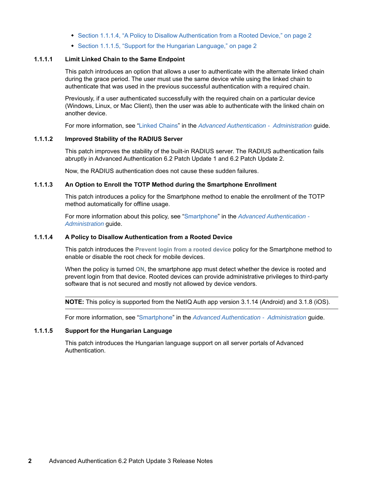- [Section 1.1.1.4, "A Policy to Disallow Authentication from a Rooted Device," on page 2](#page-1-3)
- [Section 1.1.1.5, "Support for the Hungarian Language," on page 2](#page-1-4)

### <span id="page-1-0"></span>**1.1.1.1 Limit Linked Chain to the Same Endpoint**

This patch introduces an option that allows a user to authenticate with the alternate linked chain during the grace period. The user must use the same device while using the linked chain to authenticate that was used in the previous successful authentication with a required chain.

Previously, if a user authenticated successfully with the required chain on a particular device (Windows, Linux, or Mac Client), then the user was able to authenticate with the linked chain on another device.

For more information, see ["Linked Chains"](https://www.netiq.com/documentation/advanced-authentication-62/pdfdoc/server-administrator-guide/server-administrator-guide.pdf#t45nb7c049oj) in the *[Advanced Authentication - Administration](https://www.netiq.com/documentation/advanced-authentication-62/pdfdoc/server-administrator-guide/server-administrator-guide.pdf#bookinfo)* guide.

## <span id="page-1-1"></span>**1.1.1.2 Improved Stability of the RADIUS Server**

This patch improves the stability of the built-in RADIUS server. The RADIUS authentication fails abruptly in Advanced Authentication 6.2 Patch Update 1 and 6.2 Patch Update 2.

Now, the RADIUS authentication does not cause these sudden failures.

#### <span id="page-1-2"></span>**1.1.1.3 An Option to Enroll the TOTP Method during the Smartphone Enrollment**

This patch introduces a policy for the Smartphone method to enable the enrollment of the TOTP method automatically for offline usage.

For more information about this policy, see ["Smartphone"](https://www.netiq.com/documentation/advanced-authentication-62/pdfdoc/server-administrator-guide/server-administrator-guide.pdf#Smartphone) in the *[Advanced Authentication -](https://www.netiq.com/documentation/advanced-authentication-62/pdfdoc/server-administrator-guide/server-administrator-guide.pdf#bookinfo)  Administration* guide.

## <span id="page-1-3"></span>**1.1.1.4 A Policy to Disallow Authentication from a Rooted Device**

This patch introduces the **Prevent login from a rooted device** policy for the Smartphone method to enable or disable the root check for mobile devices.

When the policy is turned **ON**, the smartphone app must detect whether the device is rooted and prevent login from that device. Rooted devices can provide administrative privileges to third-party software that is not secured and mostly not allowed by device vendors.

**NOTE:** This policy is supported from the NetIQ Auth app version 3.1.14 (Android) and 3.1.8 (iOS).

For more information, see ["Smartphone"](https://www.netiq.com/documentation/advanced-authentication-62/pdfdoc/server-administrator-guide/server-administrator-guide.pdf#Smartphone) in the *[Advanced Authentication - Administration](https://www.netiq.com/documentation/advanced-authentication-62/pdfdoc/server-administrator-guide/server-administrator-guide.pdf#bookinfo)* guide.

## <span id="page-1-4"></span>**1.1.1.5 Support for the Hungarian Language**

This patch introduces the Hungarian language support on all server portals of Advanced Authentication.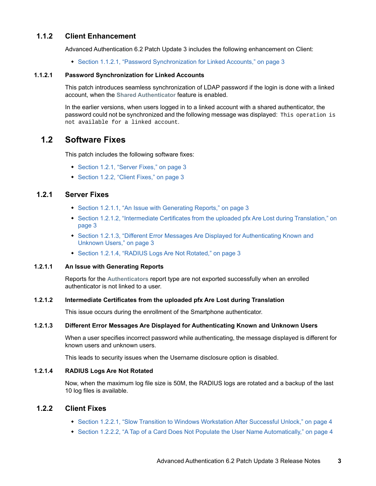## <span id="page-2-1"></span>**1.1.2 Client Enhancement**

Advanced Authentication 6.2 Patch Update 3 includes the following enhancement on Client:

[Section 1.1.2.1, "Password Synchronization for Linked Accounts," on page 3](#page-2-7)

## <span id="page-2-7"></span>**1.1.2.1 Password Synchronization for Linked Accounts**

This patch introduces seamless synchronization of LDAP password if the login is done with a linked account, when the **Shared Authenticator** feature is enabled.

In the earlier versions, when users logged in to a linked account with a shared authenticator, the password could not be synchronized and the following message was displayed: This operation is not available for a linked account.

## <span id="page-2-0"></span>**1.2 Software Fixes**

This patch includes the following software fixes:

- [Section 1.2.1, "Server Fixes," on page 3](#page-2-8)
- [Section 1.2.2, "Client Fixes," on page 3](#page-2-2)

## <span id="page-2-8"></span>**1.2.1 Server Fixes**

- [Section 1.2.1.1, "An Issue with Generating Reports," on page 3](#page-2-3)
- [Section 1.2.1.2, "Intermediate Certificates from the uploaded pfx Are Lost during Translation," on](#page-2-4)  [page 3](#page-2-4)
- [Section 1.2.1.3, "Different Error Messages Are Displayed for Authenticating Known and](#page-2-5)  [Unknown Users," on page 3](#page-2-5)
- [Section 1.2.1.4, "RADIUS Logs Are Not Rotated," on page 3](#page-2-6)

## <span id="page-2-3"></span>**1.2.1.1 An Issue with Generating Reports**

Reports for the **Authenticators** report type are not exported successfully when an enrolled authenticator is not linked to a user.

#### <span id="page-2-4"></span>**1.2.1.2 Intermediate Certificates from the uploaded pfx Are Lost during Translation**

This issue occurs during the enrollment of the Smartphone authenticator.

## <span id="page-2-5"></span>**1.2.1.3 Different Error Messages Are Displayed for Authenticating Known and Unknown Users**

When a user specifies incorrect password while authenticating, the message displayed is different for known users and unknown users.

This leads to security issues when the Username disclosure option is disabled.

## <span id="page-2-6"></span>**1.2.1.4 RADIUS Logs Are Not Rotated**

Now, when the maximum log file size is 50M, the RADIUS logs are rotated and a backup of the last 10 log files is available.

## <span id="page-2-2"></span>**1.2.2 Client Fixes**

- [Section 1.2.2.1, "Slow Transition to Windows Workstation After Successful Unlock," on page 4](#page-3-0)
- [Section 1.2.2.2, "A Tap of a Card Does Not Populate the User Name Automatically," on page 4](#page-3-1)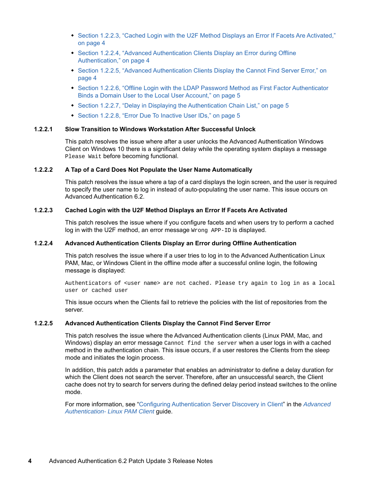- Section 1.2.2.3, "Cached Login with the U2F Method Displays an Error If Facets Are Activated," [on page 4](#page-3-2)
- Section 1.2.2.4, "Advanced Authentication Clients Display an Error during Offline [Authentication," on page 4](#page-3-3)
- [Section 1.2.2.5, "Advanced Authentication Clients Display the Cannot Find Server Error," on](#page-3-4)  [page 4](#page-3-4)
- [Section 1.2.2.6, "Offline Login with the LDAP Password Method as First Factor Authenticator](#page-4-0)  [Binds a Domain User to the Local User Account," on page 5](#page-4-0)
- $\bullet$  [Section 1.2.2.7, "Delay in Displaying the Authentication Chain List," on page 5](#page-4-1)
- [Section 1.2.2.8, "Error Due To Inactive User IDs," on page 5](#page-4-2)

## <span id="page-3-0"></span>**1.2.2.1 Slow Transition to Windows Workstation After Successful Unlock**

This patch resolves the issue where after a user unlocks the Advanced Authentication Windows Client on Windows 10 there is a significant delay while the operating system displays a message Please Wait before becoming functional.

#### <span id="page-3-1"></span>**1.2.2.2 A Tap of a Card Does Not Populate the User Name Automatically**

This patch resolves the issue where a tap of a card displays the login screen, and the user is required to specify the user name to log in instead of auto-populating the user name. This issue occurs on Advanced Authentication 6.2.

#### <span id="page-3-2"></span>**1.2.2.3 Cached Login with the U2F Method Displays an Error If Facets Are Activated**

This patch resolves the issue where if you configure facets and when users try to perform a cached log in with the U2F method, an error message Wrong APP-ID is displayed.

### <span id="page-3-3"></span>**1.2.2.4 Advanced Authentication Clients Display an Error during Offline Authentication**

This patch resolves the issue where if a user tries to log in to the Advanced Authentication Linux PAM, Mac, or Windows Client in the offline mode after a successful online login, the following message is displayed:

Authenticators of <user name> are not cached. Please try again to log in as a local user or cached user

This issue occurs when the Clients fail to retrieve the policies with the list of repositories from the server.

#### <span id="page-3-4"></span>**1.2.2.5 Advanced Authentication Clients Display the Cannot Find Server Error**

This patch resolves the issue where the Advanced Authentication clients (Linux PAM, Mac, and Windows) display an error message Cannot find the server when a user logs in with a cached method in the authentication chain. This issue occurs, if a user restores the Clients from the sleep mode and initiates the login process.

In addition, this patch adds a parameter that enables an administrator to define a delay duration for which the Client does not search the server. Therefore, after an unsuccessful search, the Client cache does not try to search for servers during the defined delay period instead switches to the online mode.

For more information, see ["Configuring Authentication Server Discovery in Client"](https://www.netiq.com/documentation/advanced-authentication-62/pdfdoc/linux-pam-client/linux-pam-client.pdf#t47v69mhcq3l) in the *[Advanced](https://www.netiq.com/documentation/advanced-authentication-62/pdfdoc/linux-pam-client/linux-pam-client.pdf#bookinfo)  Authentication- Linux PAM Client* guide.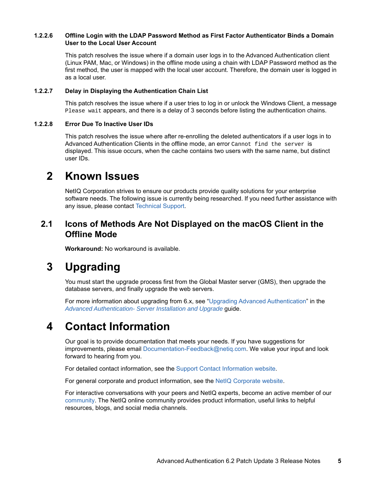## <span id="page-4-0"></span>**1.2.2.6 Offline Login with the LDAP Password Method as First Factor Authenticator Binds a Domain User to the Local User Account**

This patch resolves the issue where if a domain user logs in to the Advanced Authentication client (Linux PAM, Mac, or Windows) in the offline mode using a chain with LDAP Password method as the first method, the user is mapped with the local user account. Therefore, the domain user is logged in as a local user.

## <span id="page-4-1"></span>**1.2.2.7 Delay in Displaying the Authentication Chain List**

This patch resolves the issue where if a user tries to log in or unlock the Windows Client, a message Please wait appears, and there is a delay of 3 seconds before listing the authentication chains.

## <span id="page-4-2"></span>**1.2.2.8 Error Due To Inactive User IDs**

This patch resolves the issue where after re-enrolling the deleted authenticators if a user logs in to Advanced Authentication Clients in the offline mode, an error Cannot find the server is displayed. This issue occurs, when the cache contains two users with the same name, but distinct user IDs.

## **2 Known Issues**

NetIQ Corporation strives to ensure our products provide quality solutions for your enterprise software needs. The following issue is currently being researched. If you need further assistance with any issue, please contact [Technical Support](http://www.netiq.com/support).

## **2.1 Icons of Methods Are Not Displayed on the macOS Client in the Offline Mode**

**Workaround:** No workaround is available.

## **3 Upgrading**

You must start the upgrade process first from the Global Master server (GMS), then upgrade the database servers, and finally upgrade the web servers.

For more information about upgrading from 6.x, see ["Upgrading Advanced Authentication"](https://www.netiq.com/documentation/advanced-authentication-62/pdfdoc/install-upgrade-guide/install-upgrade-guide.pdf#productupgrade) in the *[Advanced Authentication- Server Installation and Upgrade](https://www.netiq.com/documentation/advanced-authentication-62/pdfdoc/install-upgrade-guide/install-upgrade-guide.pdf#bookinfo)* guide.

## **4 Contact Information**

Our goal is to provide documentation that meets your needs. If you have suggestions for improvements, please email [Documentation-Feedback@netiq.com](mailto:Documentation-Feedback@netiq.com). We value your input and look forward to hearing from you.

For detailed contact information, see the [Support Contact Information website.](http://www.netiq.com/support/process.asp#phone)

For general corporate and product information, see the [NetIQ Corporate website.](http://www.netiq.com/)

For interactive conversations with your peers and NetIQ experts, become an active member of our [community](https://www.netiq.com/communities/). The NetIQ online community provides product information, useful links to helpful resources, blogs, and social media channels.